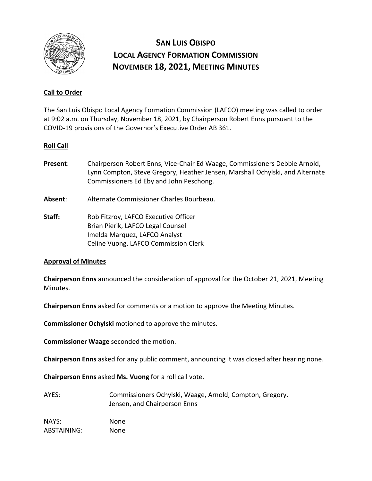

# **SAN LUIS OBISPO LOCAL AGENCY FORMATION COMMISSION NOVEMBER 18, 2021, MEETING MINUTES**

## **Call to Order**

The San Luis Obispo Local Agency Formation Commission (LAFCO) meeting was called to order at 9:02 a.m. on Thursday, November 18, 2021, by Chairperson Robert Enns pursuant to the COVID-19 provisions of the Governor's Executive Order AB 361.

### **Roll Call**

- **Present**: Chairperson Robert Enns, Vice-Chair Ed Waage, Commissioners Debbie Arnold, Lynn Compton, Steve Gregory, Heather Jensen, Marshall Ochylski, and Alternate Commissioners Ed Eby and John Peschong.
- **Absent**: Alternate Commissioner Charles Bourbeau.
- **Staff:** Rob Fitzroy, LAFCO Executive Officer Brian Pierik, LAFCO Legal Counsel Imelda Marquez, LAFCO Analyst Celine Vuong, LAFCO Commission Clerk

#### **Approval of Minutes**

**Chairperson Enns** announced the consideration of approval for the October 21, 2021, Meeting Minutes.

**Chairperson Enns** asked for comments or a motion to approve the Meeting Minutes.

**Commissioner Ochylski** motioned to approve the minutes.

**Commissioner Waage** seconded the motion.

**Chairperson Enns** asked for any public comment, announcing it was closed after hearing none.

**Chairperson Enns** asked **Ms. Vuong** for a roll call vote.

| AYES: | Commissioners Ochylski, Waage, Arnold, Compton, Gregory, |  |
|-------|----------------------------------------------------------|--|
|       | Jensen, and Chairperson Enns                             |  |

NAYS: None ABSTAINING: None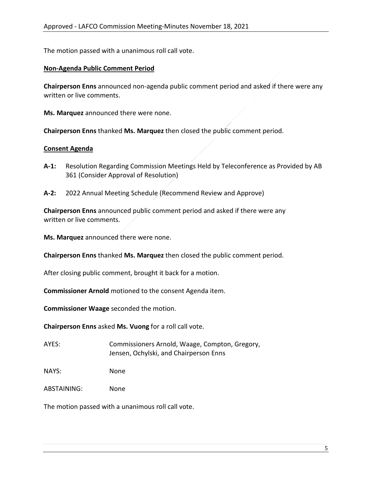The motion passed with a unanimous roll call vote.

## **Non-Agenda Public Comment Period**

**Chairperson Enns** announced non-agenda public comment period and asked if there were any written or live comments.

**Ms. Marquez** announced there were none.

**Chairperson Enns** thanked **Ms. Marquez** then closed the public comment period.

#### **Consent Agenda**

- **A-1:** Resolution Regarding Commission Meetings Held by Teleconference as Provided by AB 361 (Consider Approval of Resolution)
- **A-2:** 2022 Annual Meeting Schedule (Recommend Review and Approve)

**Chairperson Enns** announced public comment period and asked if there were any written or live comments.

**Ms. Marquez** announced there were none.

**Chairperson Enns** thanked **Ms. Marquez** then closed the public comment period.

After closing public comment, brought it back for a motion.

**Commissioner Arnold** motioned to the consent Agenda item.

**Commissioner Waage** seconded the motion.

**Chairperson Enns** asked **Ms. Vuong** for a roll call vote.

AYES: Commissioners Arnold, Waage, Compton, Gregory, Jensen, Ochylski, and Chairperson Enns

NAYS: None

ABSTAINING: None

The motion passed with a unanimous roll call vote.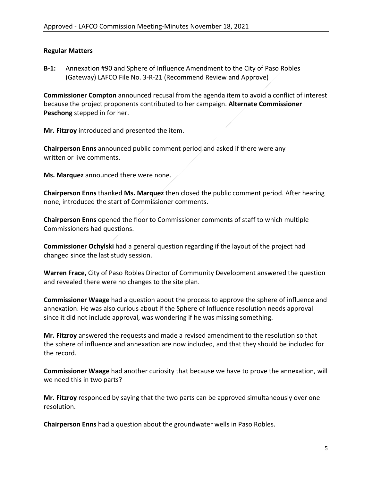## **Regular Matters**

**B-1:** Annexation #90 and Sphere of Influence Amendment to the City of Paso Robles (Gateway) LAFCO File No. 3-R-21 (Recommend Review and Approve)

**Commissioner Compton** announced recusal from the agenda item to avoid a conflict of interest because the project proponents contributed to her campaign. **Alternate Commissioner Peschong** stepped in for her.

**Mr. Fitzroy** introduced and presented the item.

**Chairperson Enns** announced public comment period and asked if there were any written or live comments.

**Ms. Marquez** announced there were none.

**Chairperson Enns** thanked **Ms. Marquez** then closed the public comment period. After hearing none, introduced the start of Commissioner comments.

**Chairperson Enns** opened the floor to Commissioner comments of staff to which multiple Commissioners had questions.

**Commissioner Ochylski** had a general question regarding if the layout of the project had changed since the last study session.

**Warren Frace,** City of Paso Robles Director of Community Development answered the question and revealed there were no changes to the site plan.

**Commissioner Waage** had a question about the process to approve the sphere of influence and annexation. He was also curious about if the Sphere of Influence resolution needs approval since it did not include approval, was wondering if he was missing something.

**Mr. Fitzroy** answered the requests and made a revised amendment to the resolution so that the sphere of influence and annexation are now included, and that they should be included for the record.

**Commissioner Waage** had another curiosity that because we have to prove the annexation, will we need this in two parts?

**Mr. Fitzroy** responded by saying that the two parts can be approved simultaneously over one resolution.

**Chairperson Enns** had a question about the groundwater wells in Paso Robles.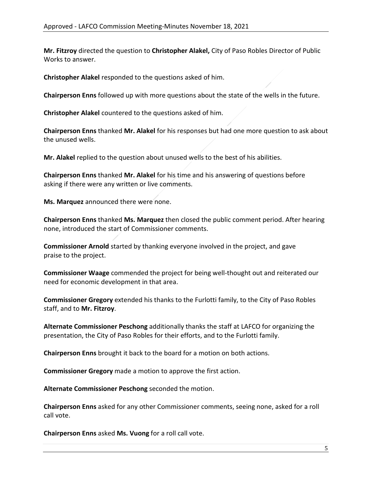**Mr. Fitzroy** directed the question to **Christopher Alakel,** City of Paso Robles Director of Public Works to answer.

**Christopher Alakel** responded to the questions asked of him.

**Chairperson Enns** followed up with more questions about the state of the wells in the future.

**Christopher Alakel** countered to the questions asked of him.

**Chairperson Enns** thanked **Mr. Alakel** for his responses but had one more question to ask about the unused wells.

**Mr. Alakel** replied to the question about unused wells to the best of his abilities.

**Chairperson Enns** thanked **Mr. Alakel** for his time and his answering of questions before asking if there were any written or live comments.

**Ms. Marquez** announced there were none.

**Chairperson Enns** thanked **Ms. Marquez** then closed the public comment period. After hearing none, introduced the start of Commissioner comments.

**Commissioner Arnold** started by thanking everyone involved in the project, and gave praise to the project.

**Commissioner Waage** commended the project for being well-thought out and reiterated our need for economic development in that area.

**Commissioner Gregory** extended his thanks to the Furlotti family, to the City of Paso Robles staff, and to **Mr. Fitzroy**.

**Alternate Commissioner Peschong** additionally thanks the staff at LAFCO for organizing the presentation, the City of Paso Robles for their efforts, and to the Furlotti family.

**Chairperson Enns** brought it back to the board for a motion on both actions.

**Commissioner Gregory** made a motion to approve the first action.

**Alternate Commissioner Peschong** seconded the motion.

**Chairperson Enns** asked for any other Commissioner comments, seeing none, asked for a roll call vote.

**Chairperson Enns** asked **Ms. Vuong** for a roll call vote.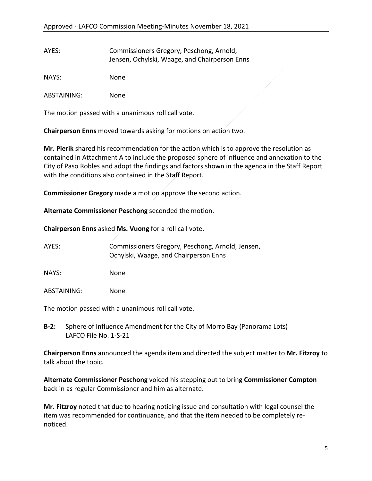| AYES: | Commissioners Gregory, Peschong, Arnold,      |  |
|-------|-----------------------------------------------|--|
|       | Jensen, Ochylski, Waage, and Chairperson Enns |  |

NAYS: None

ABSTAINING: None

The motion passed with a unanimous roll call vote.

**Chairperson Enns** moved towards asking for motions on action two.

**Mr. Pierik** shared his recommendation for the action which is to approve the resolution as contained in Attachment A to include the proposed sphere of influence and annexation to the City of Paso Robles and adopt the findings and factors shown in the agenda in the Staff Report with the conditions also contained in the Staff Report.

**Commissioner Gregory** made a motion approve the second action.

**Alternate Commissioner Peschong** seconded the motion.

**Chairperson Enns** asked **Ms. Vuong** for a roll call vote.

AYES: Commissioners Gregory, Peschong, Arnold, Jensen, Ochylski, Waage, and Chairperson Enns

NAYS: None

ABSTAINING: None

The motion passed with a unanimous roll call vote.

**B-2:** Sphere of Influence Amendment for the City of Morro Bay (Panorama Lots) LAFCO File No. 1-S-21

**Chairperson Enns** announced the agenda item and directed the subject matter to **Mr. Fitzroy** to talk about the topic.

**Alternate Commissioner Peschong** voiced his stepping out to bring **Commissioner Compton**  back in as regular Commissioner and him as alternate.

**Mr. Fitzroy** noted that due to hearing noticing issue and consultation with legal counsel the item was recommended for continuance, and that the item needed to be completely renoticed.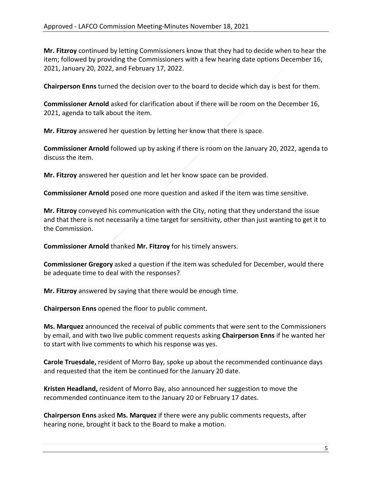**Mr. Fitzroy** continued by letting Commissioners know that they had to decide when to hear the item; followed by providing the Commissioners with a few hearing date options December 16, 2021, January 20, 2022, and February 17, 2022.

**Chairperson Enns** turned the decision over to the board to decide which day is best for them.

**Commissioner Arnold** asked for clarification about if there will be room on the December 16, 2021, agenda to talk about the item.

**Mr. Fitzroy** answered her question by letting her know that there is space.

**Commissioner Arnold** followed up by asking if there is room on the January 20, 2022, agenda to discuss the item.

**Mr. Fitzroy** answered her question and let her know space can be provided.

**Commissioner Arnold** posed one more question and asked if the item was time sensitive.

**Mr. Fitzroy** conveyed his communication with the City, noting that they understand the issue and that there is not necessarily a time target for sensitivity, other than just wanting to get it to the Commission.

**Commissioner Arnold** thanked **Mr. Fitzroy** for his timely answers.

**Commissioner Gregory** asked a question if the item was scheduled for December, would there be adequate time to deal with the responses?

**Mr. Fitzroy** answered by saying that there would be enough time.

**Chairperson Enns** opened the floor to public comment.

**Ms. Marquez** announced the receival of public comments that were sent to the Commissioners by email, and with two live public comment requests asking **Chairperson Enns** if he wanted her to start with live comments to which his response was yes.

**Carole Truesdale,** resident of Morro Bay, spoke up about the recommended continuance days and requested that the item be continued for the January 20 date.

**Kristen Headland,** resident of Morro Bay, also announced her suggestion to move the recommended continuance item to the January 20 or February 17 dates.

**Chairperson Enns** asked **Ms. Marquez** if there were any public comments requests, after hearing none, brought it back to the Board to make a motion.